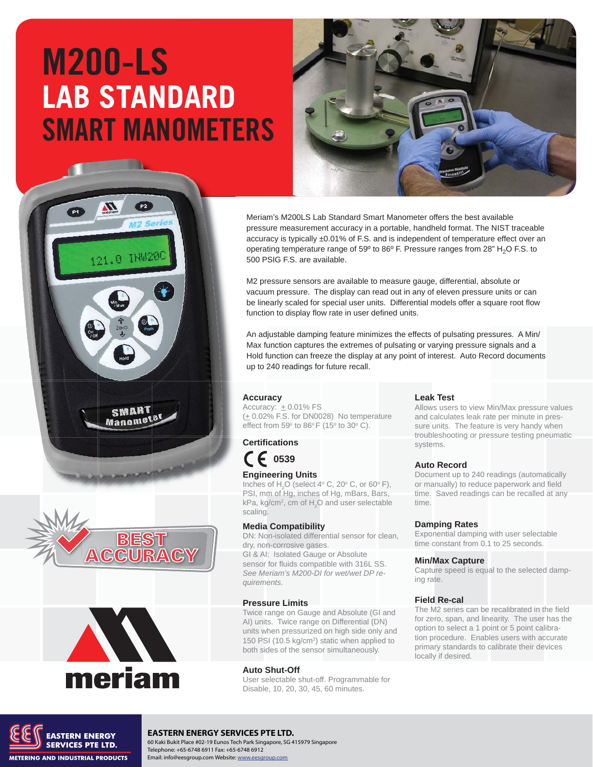# M200-LS **LAB STANDARD** SMART MANOMETERS



Meriam's M200LS Lab Standard Smart Manometer offers the best available pressure measurement accuracy in a portable, handheld format. The NIST traceable accuracy is typically ±0.01% of F.S. and is independent of temperature effect over an operating temperature range of 59 $^{\circ}$  to 86 $^{\circ}$  F. Pressure ranges from 28" H<sub>2</sub>O F.S. to 500 PSIG F.S. are available.

M2 pressure sensors are available to measure gauge, differential, absolute or vacuum pressure. The display can read out in any of eleven pressure units or can be linearly scaled for special user units. Differential models offer a square root flow function to display flow rate in user defined units.

An adjustable damping feature minimizes the effects of pulsating pressures. A Min/ Max function captures the extremes of pulsating or varying pressure signals and a Hold function can freeze the display at any point of interest. Auto Record documents up to 240 readings for future recall.

#### **Accuracy**

Accuracy:  $+0.01\%$  FS  $(± 0.02\%$  F.S. for DN0028) No temperature effect from 59 $\degree$  to 86 $\degree$ F (15 $\degree$  to 30 $\degree$  C).

**Certifications 0539**

#### **Engineering Units**

Inches of  $H_2O$  (select 4° C, 20° C, or 60° F), PSI, mm of Hg, inches of Hg, mBars, Bars, kPa, kg/cm<sup>2</sup>, cm of  $H_2O$  and user selectable scaling.

#### **Media Compatibility**

DN: Non-isolated differential sensor for clean, dry, non-corrosive gases. GI & AI: Isolated Gauge or Absolute sensor for fluids compatible with 316L SS. *See Meriam's M200-DI for wet/wet DP requirements.*

#### **Pressure Limits**

Twice range on Gauge and Absolute (GI and AI) units. Twice range on Differential (DN) units when pressurized on high side only and 150 PSI (10.5 kg/cm<sup>2</sup>) static when applied to both sides of the sensor simultaneously.

#### **Auto Shut-Off**

User selectable shut-off. Programmable for Disable, 10, 20, 30, 45, 60 minutes.

#### **Leak Test**

Allows users to view Min/Max pressure values and calculates leak rate per minute in pressure units. The feature is very handy when troubleshooting or pressure testing pneumatic systems.

#### **Auto Record**

Document up to 240 readings (automatically or manually) to reduce paperwork and field time. Saved readings can be recalled at any time.

#### **Damping Rates**

Exponential damping with user selectable time constant from 0.1 to 25 seconds.

#### **Min/Max Capture**

Capture speed is equal to the selected damping rate.

#### **Field Re-cal**

The M2 series can be recalibrated in the field for zero, span, and linearity. The user has the option to select a 1 point or 5 point calibration procedure. Enables users with accurate primary standards to calibrate their devices locally if desired.



**SMART** Manomete

**BEST<br>CCURACY** 



#### **EASTERN ENERGY SERVICES PTE LTD.**

60 Kaki Bukit Place #02-19 Eunos Tech Park Singapore, SG 415979 Singapore Telephone: +65-6748 6911 Fax: +65-6748 6912 Email: info@eesgroup.com Website: www.eesgroup.com